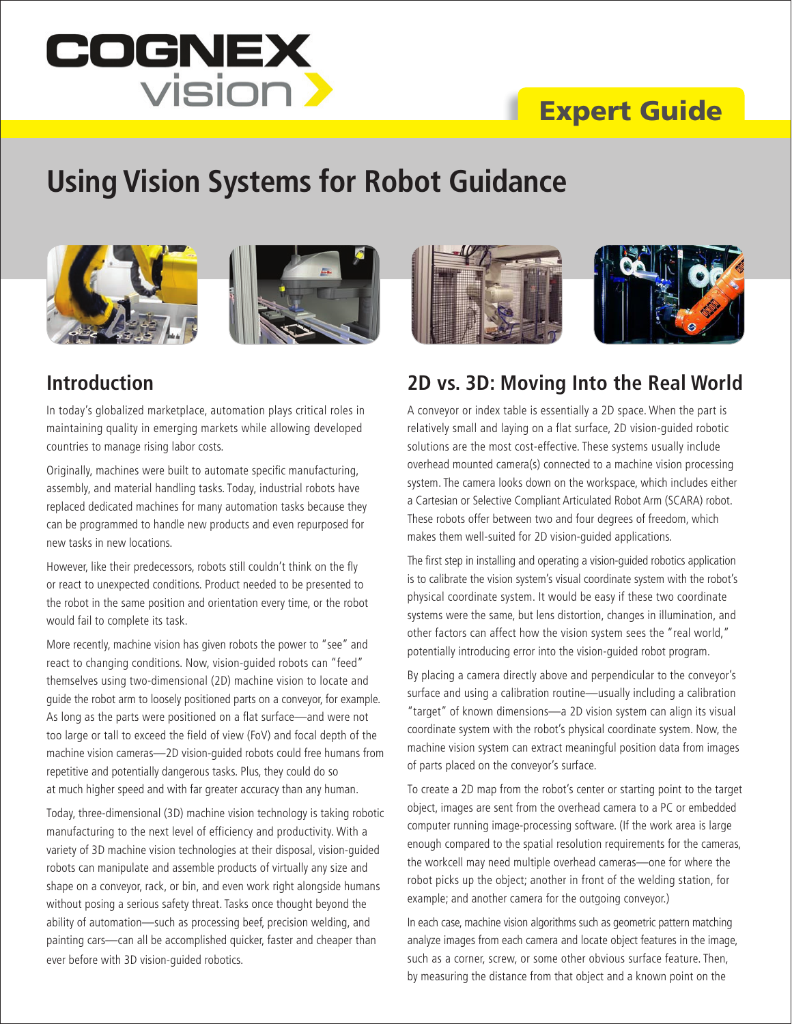

# Expert Guide

# **Using Vision Systems for Robot Guidance**





## **Introduction**

In today's globalized marketplace, automation plays critical roles in maintaining quality in emerging markets while allowing developed countries to manage rising labor costs.

Originally, machines were built to automate specific manufacturing, assembly, and material handling tasks. Today, industrial robots have replaced dedicated machines for many automation tasks because they can be programmed to handle new products and even repurposed for new tasks in new locations.

However, like their predecessors, robots still couldn't think on the fly or react to unexpected conditions. Product needed to be presented to the robot in the same position and orientation every time, or the robot would fail to complete its task.

More recently, machine vision has given robots the power to "see" and react to changing conditions. Now, vision-guided robots can "feed" themselves using two-dimensional (2D) machine vision to locate and guide the robot arm to loosely positioned parts on a conveyor, for example. As long as the parts were positioned on a flat surface—and were not too large or tall to exceed the field of view (FoV) and focal depth of the machine vision cameras—2D vision-guided robots could free humans from repetitive and potentially dangerous tasks. Plus, they could do so at much higher speed and with far greater accuracy than any human.

Today, three-dimensional (3D) machine vision technology is taking robotic manufacturing to the next level of efficiency and productivity. With a variety of 3D machine vision technologies at their disposal, vision-guided robots can manipulate and assemble products of virtually any size and shape on a conveyor, rack, or bin, and even work right alongside humans without posing a serious safety threat. Tasks once thought beyond the ability of automation—such as processing beef, precision welding, and painting cars—can all be accomplished quicker, faster and cheaper than ever before with 3D vision-guided robotics.



#### **2D vs. 3D: Moving Into the Real World**

A conveyor or index table is essentially a 2D space. When the part is relatively small and laying on a flat surface, 2D vision-guided robotic solutions are the most cost-effective. These systems usually include overhead mounted camera(s) connected to a machine vision processing system. The camera looks down on the workspace, which includes either a Cartesian or Selective Compliant Articulated Robot Arm (SCARA) robot. These robots offer between two and four degrees of freedom, which makes them well-suited for 2D vision-guided applications.

The first step in installing and operating a vision-guided robotics application is to calibrate the vision system's visual coordinate system with the robot's physical coordinate system. It would be easy if these two coordinate systems were the same, but lens distortion, changes in illumination, and other factors can affect how the vision system sees the "real world," potentially introducing error into the vision-guided robot program.

By placing a camera directly above and perpendicular to the conveyor's surface and using a calibration routine—usually including a calibration "target" of known dimensions—a 2D vision system can align its visual coordinate system with the robot's physical coordinate system. Now, the machine vision system can extract meaningful position data from images of parts placed on the conveyor's surface.

To create a 2D map from the robot's center or starting point to the target object, images are sent from the overhead camera to a PC or embedded computer running image-processing software. (If the work area is large enough compared to the spatial resolution requirements for the cameras, the workcell may need multiple overhead cameras—one for where the robot picks up the object; another in front of the welding station, for example; and another camera for the outgoing conveyor.)

In each case, machine vision algorithms such as geometric pattern matching analyze images from each camera and locate object features in the image, such as a corner, screw, or some other obvious surface feature. Then, by measuring the distance from that object and a known point on the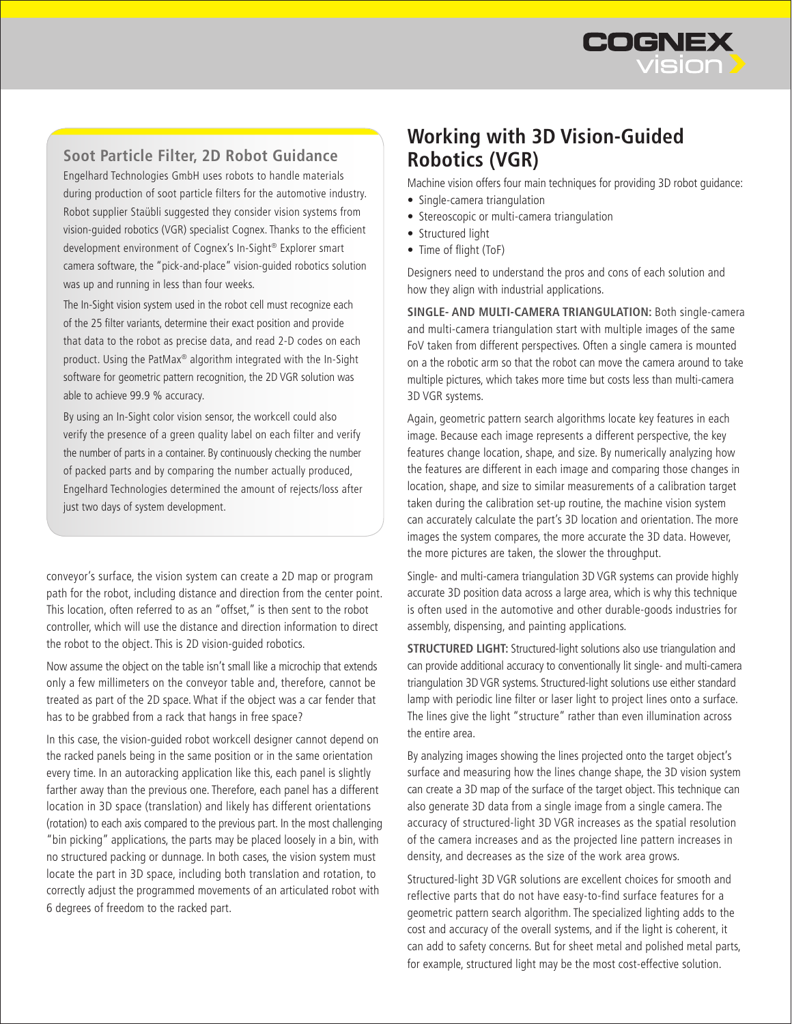

#### **Soot Particle Filter, 2D Robot Guidance**

Engelhard Technologies GmbH uses robots to handle materials during production of soot particle filters for the automotive industry. Robot supplier Staübli suggested they consider vision systems from vision-guided robotics (VGR) specialist Cognex. Thanks to the efficient development environment of Cognex's In-Sight® Explorer smart camera software, the "pick-and-place" vision-guided robotics solution was up and running in less than four weeks.

The In-Sight vision system used in the robot cell must recognize each of the 25 filter variants, determine their exact position and provide that data to the robot as precise data, and read 2-D codes on each product. Using the PatMax® algorithm integrated with the In-Sight software for geometric pattern recognition, the 2D VGR solution was able to achieve 99.9 % accuracy.

By using an In-Sight color vision sensor, the workcell could also verify the presence of a green quality label on each filter and verify the number of parts in a container. By continuously checking the number of packed parts and by comparing the number actually produced, Engelhard Technologies determined the amount of rejects/loss after just two days of system development.

conveyor's surface, the vision system can create a 2D map or program path for the robot, including distance and direction from the center point. This location, often referred to as an "offset," is then sent to the robot controller, which will use the distance and direction information to direct the robot to the object. This is 2D vision-guided robotics.

Now assume the object on the table isn't small like a microchip that extends only a few millimeters on the conveyor table and, therefore, cannot be treated as part of the 2D space. What if the object was a car fender that has to be grabbed from a rack that hangs in free space?

In this case, the vision-guided robot workcell designer cannot depend on the racked panels being in the same position or in the same orientation every time. In an autoracking application like this, each panel is slightly farther away than the previous one. Therefore, each panel has a different location in 3D space (translation) and likely has different orientations (rotation) to each axis compared to the previous part. In the most challenging "bin picking" applications, the parts may be placed loosely in a bin, with no structured packing or dunnage. In both cases, the vision system must locate the part in 3D space, including both translation and rotation, to correctly adjust the programmed movements of an articulated robot with 6 degrees of freedom to the racked part.

## **Working with 3D Vision-Guided Robotics (VGR)**

Machine vision offers four main techniques for providing 3D robot guidance:

- Single-camera triangulation
- Stereoscopic or multi-camera triangulation
- Structured light
- Time of flight (ToF)

Designers need to understand the pros and cons of each solution and how they align with industrial applications.

**SINGLE- AND MULTI-CAMERA TRIANGULATION:** Both single-camera and multi-camera triangulation start with multiple images of the same FoV taken from different perspectives. Often a single camera is mounted on a the robotic arm so that the robot can move the camera around to take multiple pictures, which takes more time but costs less than multi-camera 3D VGR systems.

Again, geometric pattern search algorithms locate key features in each image. Because each image represents a different perspective, the key features change location, shape, and size. By numerically analyzing how the features are different in each image and comparing those changes in location, shape, and size to similar measurements of a calibration target taken during the calibration set-up routine, the machine vision system can accurately calculate the part's 3D location and orientation. The more images the system compares, the more accurate the 3D data. However, the more pictures are taken, the slower the throughput.

Single- and multi-camera triangulation 3D VGR systems can provide highly accurate 3D position data across a large area, which is why this technique is often used in the automotive and other durable-goods industries for assembly, dispensing, and painting applications.

**STRUCTURED LIGHT:** Structured-light solutions also use triangulation and can provide additional accuracy to conventionally lit single- and multi-camera triangulation 3D VGR systems. Structured-light solutions use either standard lamp with periodic line filter or laser light to project lines onto a surface. The lines give the light "structure" rather than even illumination across the entire area.

By analyzing images showing the lines projected onto the target object's surface and measuring how the lines change shape, the 3D vision system can create a 3D map of the surface of the target object. This technique can also generate 3D data from a single image from a single camera. The accuracy of structured-light 3D VGR increases as the spatial resolution of the camera increases and as the projected line pattern increases in density, and decreases as the size of the work area grows.

Structured-light 3D VGR solutions are excellent choices for smooth and reflective parts that do not have easy-to-find surface features for a geometric pattern search algorithm. The specialized lighting adds to the cost and accuracy of the overall systems, and if the light is coherent, it can add to safety concerns. But for sheet metal and polished metal parts, for example, structured light may be the most cost-effective solution.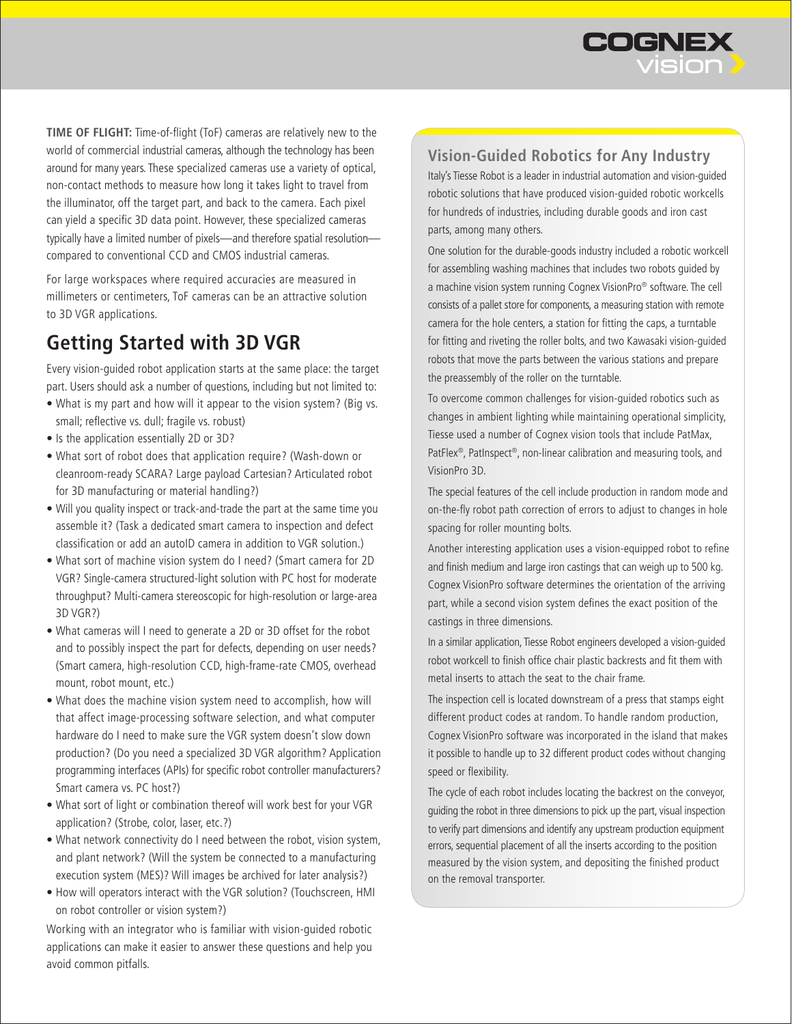

**TIME OF FLIGHT:** Time-of-flight (ToF) cameras are relatively new to the world of commercial industrial cameras, although the technology has been around for many years. These specialized cameras use a variety of optical, non-contact methods to measure how long it takes light to travel from the illuminator, off the target part, and back to the camera. Each pixel can yield a specific 3D data point. However, these specialized cameras typically have a limited number of pixels—and therefore spatial resolution compared to conventional CCD and CMOS industrial cameras.

For large workspaces where required accuracies are measured in millimeters or centimeters, ToF cameras can be an attractive solution to 3D VGR applications.

## **Getting Started with 3D VGR**

Every vision-guided robot application starts at the same place: the target part. Users should ask a number of questions, including but not limited to:

- • What is my part and how will it appear to the vision system? (Big vs. small; reflective vs. dull; fragile vs. robust)
- Is the application essentially 2D or 3D?
- What sort of robot does that application require? (Wash-down or cleanroom-ready SCARA? Large payload Cartesian? Articulated robot for 3D manufacturing or material handling?)
- Will you quality inspect or track-and-trade the part at the same time you assemble it? (Task a dedicated smart camera to inspection and defect classification or add an autoID camera in addition to VGR solution.)
- What sort of machine vision system do I need? (Smart camera for 2D VGR? Single-camera structured-light solution with PC host for moderate throughput? Multi-camera stereoscopic for high-resolution or large-area 3D VGR?)
- What cameras will I need to generate a 2D or 3D offset for the robot and to possibly inspect the part for defects, depending on user needs? (Smart camera, high-resolution CCD, high-frame-rate CMOS, overhead mount, robot mount, etc.)
- What does the machine vision system need to accomplish, how will that affect image-processing software selection, and what computer hardware do I need to make sure the VGR system doesn't slow down production? (Do you need a specialized 3D VGR algorithm? Application programming interfaces (APIs) for specific robot controller manufacturers? Smart camera vs. PC host?)
- What sort of light or combination thereof will work best for your VGR application? (Strobe, color, laser, etc.?)
- What network connectivity do I need between the robot, vision system, and plant network? (Will the system be connected to a manufacturing execution system (MES)? Will images be archived for later analysis?)
- How will operators interact with the VGR solution? (Touchscreen, HMI on robot controller or vision system?)

Working with an integrator who is familiar with vision-guided robotic applications can make it easier to answer these questions and help you avoid common pitfalls.

**Vision-Guided Robotics for Any Industry**

Italy's Tiesse Robot is a leader in industrial automation and vision-guided robotic solutions that have produced vision-guided robotic workcells for hundreds of industries, including durable goods and iron cast parts, among many others.

One solution for the durable-goods industry included a robotic workcell for assembling washing machines that includes two robots guided by a machine vision system running Cognex VisionPro® software. The cell consists of a pallet store for components, a measuring station with remote camera for the hole centers, a station for fitting the caps, a turntable for fitting and riveting the roller bolts, and two Kawasaki vision-guided robots that move the parts between the various stations and prepare the preassembly of the roller on the turntable.

To overcome common challenges for vision-guided robotics such as changes in ambient lighting while maintaining operational simplicity, Tiesse used a number of Cognex vision tools that include PatMax, PatFlex®, PatInspect®, non-linear calibration and measuring tools, and VisionPro 3D.

The special features of the cell include production in random mode and on-the-fly robot path correction of errors to adjust to changes in hole spacing for roller mounting bolts.

Another interesting application uses a vision-equipped robot to refine and finish medium and large iron castings that can weigh up to 500 kg. Cognex VisionPro software determines the orientation of the arriving part, while a second vision system defines the exact position of the castings in three dimensions.

In a similar application, Tiesse Robot engineers developed a vision-guided robot workcell to finish office chair plastic backrests and fit them with metal inserts to attach the seat to the chair frame.

The inspection cell is located downstream of a press that stamps eight different product codes at random. To handle random production, Cognex VisionPro software was incorporated in the island that makes it possible to handle up to 32 different product codes without changing speed or flexibility.

The cycle of each robot includes locating the backrest on the conveyor, guiding the robot in three dimensions to pick up the part, visual inspection to verify part dimensions and identify any upstream production equipment errors, sequential placement of all the inserts according to the position measured by the vision system, and depositing the finished product on the removal transporter.